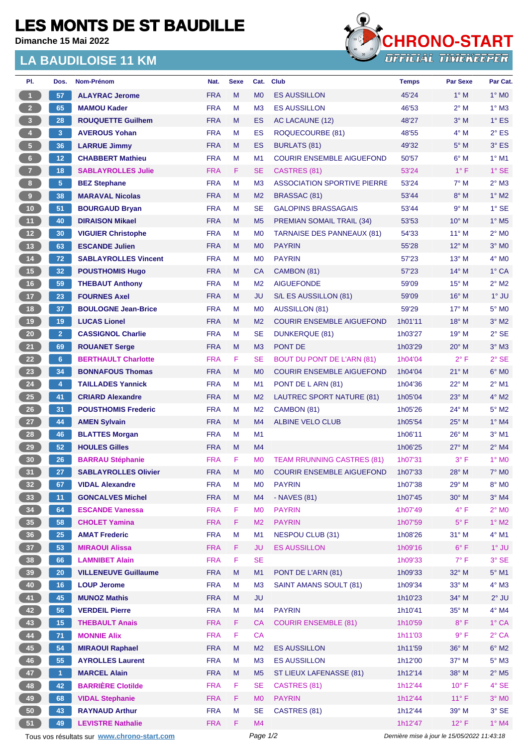## **LES MONTS DE ST BAUDILLE**

**Dimanche 15 Mai 2022**

## **LA BAUDILOISE 11 KM**



| PI.                     | Dos.            | Nom-Prénom                  | Nat.       | <b>Sexe</b> | Cat.           | <b>Club</b>                        | <b>Temps</b> | <b>Par Sexe</b> | Par Cat.                   |
|-------------------------|-----------------|-----------------------------|------------|-------------|----------------|------------------------------------|--------------|-----------------|----------------------------|
| -1                      | 57              | <b>ALAYRAC Jerome</b>       | <b>FRA</b> | M           | M <sub>0</sub> | <b>ES AUSSILLON</b>                | 45'24        | $1^\circ$ M     | $1^\circ$ MO               |
| 2 <sup>2</sup>          | 65              | <b>MAMOU Kader</b>          | <b>FRA</b> | М           | M <sub>3</sub> | <b>ES AUSSILLON</b>                | 46'53        | $2^{\circ}$ M   | $1^\circ$ M3               |
| $\overline{\mathbf{3}}$ | 28              | <b>ROUQUETTE Guilhem</b>    | <b>FRA</b> | M           | ES             | AC LACAUNE (12)                    | 48'27        | $3^\circ$ M     | $1^\circ$ ES               |
| $\overline{4}$          | 3               | <b>AVEROUS Yohan</b>        | <b>FRA</b> | M           | ES             | ROQUECOURBE (81)                   | 48'55        | $4^\circ$ M     | $2^{\circ}$ ES             |
| $5 -$                   | 36              | <b>LARRUE Jimmy</b>         | <b>FRA</b> | M           | <b>ES</b>      | <b>BURLATS (81)</b>                | 49'32        | $5^\circ$ M     | 3° ES                      |
| $6\phantom{.}6$         | 12 <sub>2</sub> | <b>CHABBERT Mathieu</b>     | <b>FRA</b> | M           | M <sub>1</sub> | <b>COURIR ENSEMBLE AIGUEFOND</b>   | 50'57        | $6^\circ$ M     | $1^\circ$ M1               |
| 7 <sup>2</sup>          | 18              | <b>SABLAYROLLES Julie</b>   | <b>FRA</b> | F.          | <b>SE</b>      | CASTRES (81)                       | 53'24        | $1^{\circ}$ F   | $1^\circ$ SE               |
| 8 <sup>1</sup>          | 5 <sub>5</sub>  | <b>BEZ Stephane</b>         | <b>FRA</b> | M           | M <sub>3</sub> | <b>ASSOCIATION SPORTIVE PIERRE</b> | 53'24        | $7^\circ$ M     | $2^{\circ}$ M3             |
| 9                       | 38              | <b>MARAVAL Nicolas</b>      | <b>FRA</b> | M           | M <sub>2</sub> | <b>BRASSAC (81)</b>                | 53'44        | $8^\circ$ M     | $1^\circ$ M2               |
| 10 <sup>°</sup>         | 51              | <b>BOURGAUD Bryan</b>       | <b>FRA</b> | M           | <b>SE</b>      | <b>GALOPINS BRASSAGAIS</b>         | 53'44        | 9° M            | $1^\circ$ SE               |
| 11 <sub>1</sub>         | 40              | <b>DIRAISON Mikael</b>      | <b>FRA</b> | M           | M <sub>5</sub> | <b>PREMIAN SOMAIL TRAIL (34)</b>   | 53'53        | $10^{\circ}$ M  | $1^\circ$ M <sub>5</sub>   |
| 12                      | 30              | <b>VIGUIER Christophe</b>   | <b>FRA</b> | M           | M <sub>0</sub> | <b>TARNAISE DES PANNEAUX (81)</b>  | 54'33        | $11^{\circ}$ M  | $2^{\circ}$ M <sub>0</sub> |
| 13 <sup>°</sup>         | 63              | <b>ESCANDE Julien</b>       | <b>FRA</b> | M           | M <sub>0</sub> | <b>PAYRIN</b>                      | 55'28        | $12^{\circ}$ M  | $3°$ MO                    |
| 14                      | 72              | <b>SABLAYROLLES Vincent</b> | <b>FRA</b> | М           | M <sub>0</sub> | <b>PAYRIN</b>                      | 57'23        | $13^{\circ}$ M  | $4^\circ$ MO               |
| 15                      | 32              | <b>POUSTHOMIS Hugo</b>      | <b>FRA</b> | M           | CA             | CAMBON (81)                        | 57'23        | 14° M           | 1° CA                      |
| 16                      | 59              | <b>THEBAUT Anthony</b>      | <b>FRA</b> | M           | M <sub>2</sub> | <b>AIGUEFONDE</b>                  | 59'09        | 15° M           | $2^{\circ}$ M2             |
| 17 <sub>2</sub>         | 23              | <b>FOURNES Axel</b>         | <b>FRA</b> | M           | JU             | S/L ES AUSSILLON (81)              | 59'09        | 16° M           | $1^\circ$ JU               |
| 18                      | 37              | <b>BOULOGNE Jean-Brice</b>  | <b>FRA</b> | М           | M <sub>0</sub> | <b>AUSSILLON (81)</b>              | 59'29        | $17^\circ$ M    | 5° MO                      |
| 19                      | 19              | <b>LUCAS Lionel</b>         | <b>FRA</b> | M           | M <sub>2</sub> | <b>COURIR ENSEMBLE AIGUEFOND</b>   | 1h01'11      | 18° M           | $3°$ M2                    |
| 20                      | 2 <sub>1</sub>  | <b>CASSIGNOL Charlie</b>    | <b>FRA</b> | м           | <b>SE</b>      | <b>DUNKERQUE (81)</b>              | 1h03'27      | $19°$ M         | $2°$ SE                    |
| 21                      | 69              | <b>ROUANET Serge</b>        | <b>FRA</b> | M           | M <sub>3</sub> | PONT DE                            | 1h03'29      | $20^\circ$ M    | $3°$ M $3$                 |
| 22                      | 6 <sup>1</sup>  | <b>BERTHAULT Charlotte</b>  | <b>FRA</b> | F.          | <b>SE</b>      | <b>BOUT DU PONT DE L'ARN (81)</b>  | 1h04'04      | $2^{\circ}$ F   | $2°$ SE                    |
| 23                      | 34              | <b>BONNAFOUS Thomas</b>     | <b>FRA</b> | M           | M <sub>0</sub> | <b>COURIR ENSEMBLE AIGUEFOND</b>   | 1h04'04      | $21^{\circ}$ M  | $6^\circ$ MO               |
| 24                      | 4               | <b>TAILLADES Yannick</b>    | <b>FRA</b> | М           | M <sub>1</sub> | PONT DE L ARN (81)                 | 1h04'36      | 22° M           | $2^{\circ}$ M1             |
| 25                      | 41              | <b>CRIARD Alexandre</b>     | <b>FRA</b> | M           | M <sub>2</sub> | LAUTREC SPORT NATURE (81)          | 1h05'04      | $23^\circ$ M    | $4^\circ$ M2               |
| 26                      | 31              | <b>POUSTHOMIS Frederic</b>  | <b>FRA</b> | M           | M <sub>2</sub> | CAMBON (81)                        | 1h05'26      | 24° M           | $5^\circ$ M2               |
| 27                      | 44              | <b>AMEN Sylvain</b>         | <b>FRA</b> | M           | M <sub>4</sub> | <b>ALBINE VELO CLUB</b>            | 1h05'54      | $25^{\circ}$ M  | $1^\circ$ M4               |
| 28                      | 46              | <b>BLATTES Morgan</b>       | <b>FRA</b> | М           | M <sub>1</sub> |                                    | 1h06'11      | 26° M           | $3°$ M1                    |
| 29                      | 52              | <b>HOULES Gilles</b>        | <b>FRA</b> | M           | M4             |                                    | 1h06'25      | $27^\circ$ M    | $2^{\circ}$ M4             |
| 30                      | 26              | <b>BARRAU Stéphanie</b>     | <b>FRA</b> | F           | M <sub>0</sub> | <b>TEAM RRUNNING CASTRES (81)</b>  | 1h07'31      | $3^{\circ}$ F   | $1^\circ$ MO               |
| 31                      | 27              | <b>SABLAYROLLES Olivier</b> | <b>FRA</b> | M           | M <sub>0</sub> | <b>COURIR ENSEMBLE AIGUEFOND</b>   | 1h07'33      | $28^\circ$ M    | 7° M <sub>0</sub>          |
| 32 <sup>°</sup>         | 67              | <b>VIDAL Alexandre</b>      | <b>FRA</b> | M           | M <sub>0</sub> | <b>PAYRIN</b>                      | 1h07'38      | 29° M           | 8° MO                      |
| 33 <sup>°</sup>         | 11              | <b>GONCALVES Michel</b>     | <b>FRA</b> | M           | M4             | - NAVES (81)                       | 1h07'45      | 30° M           | $3°$ M4                    |
| 34                      | 64              | <b>ESCANDE Vanessa</b>      | <b>FRA</b> | F           | M <sub>0</sub> | <b>PAYRIN</b>                      | 1h07'49      | $4^{\circ}$ F   | $2^\circ$ MO               |
| 35 <sub>5</sub>         | 58              | <b>CHOLET Yamina</b>        | <b>FRA</b> | F           | M <sub>2</sub> | <b>PAYRIN</b>                      | 1h07'59      | $5^{\circ}$ F   | 1° M2                      |
| 36 <sup>°</sup>         | 25              | <b>AMAT Frederic</b>        | <b>FRA</b> | M           | M1             | <b>NESPOU CLUB (31)</b>            | 1h08'26      | 31° M           | $4^\circ$ M1               |
| 37 <sup>°</sup>         | 53              | <b>MIRAOUI Alissa</b>       | <b>FRA</b> | F.          | <b>JU</b>      | <b>ES AUSSILLON</b>                | 1h09'16      | $6^{\circ}$ F   | $1^\circ$ JU               |
| 38                      | 66              | <b>LAMNIBET Alain</b>       | <b>FRA</b> | F           | <b>SE</b>      |                                    | 1h09'33      | $7^\circ$ F     | 3° SE                      |
| 39                      | 20              | <b>VILLENEUVE Guillaume</b> | <b>FRA</b> | ${\sf M}$   | M1             | PONT DE L'ARN (81)                 | 1h09'33      | 32° M           | $5^\circ$ M1               |
| 40                      | 16              | <b>LOUP Jerome</b>          | <b>FRA</b> | M           | M <sub>3</sub> | SAINT AMANS SOULT (81)             | 1h09'34      | 33° M           | 4° M3                      |
| 41                      | 45              | <b>MUNOZ Mathis</b>         | <b>FRA</b> | M           | <b>JU</b>      |                                    | 1h10'23      | 34° M           | $2^{\circ}$ JU             |
| 42                      | 56              | <b>VERDEIL Pierre</b>       | <b>FRA</b> | М           | M4             | <b>PAYRIN</b>                      | 1h10'41      | 35° M           | $4^\circ$ M4               |
| 43                      | 15              | <b>THEBAULT Anais</b>       | <b>FRA</b> | F.          | <b>CA</b>      | <b>COURIR ENSEMBLE (81)</b>        | 1h10'59      | $8^{\circ}$ F   | 1° CA                      |
| 44                      | 71              | <b>MONNIE Alix</b>          | <b>FRA</b> | F           | <b>CA</b>      |                                    | 1h11'03      | $9^{\circ}$ F   | $2^{\circ}$ CA             |
| 45                      | 54              | <b>MIRAOUI Raphael</b>      | <b>FRA</b> | M           | M <sub>2</sub> | <b>ES AUSSILLON</b>                | 1h11'59      | 36° M           | $6^\circ$ M2               |
| 46                      | 55              | <b>AYROLLES Laurent</b>     | <b>FRA</b> | M           | M <sub>3</sub> | <b>ES AUSSILLON</b>                | 1h12'00      | 37° M           | $5^\circ$ M3               |
| 47                      | $\overline{1}$  | <b>MARCEL Alain</b>         | <b>FRA</b> | M           | M <sub>5</sub> | ST LIEUX LAFENASSE (81)            | 1h12'14      | 38° M           | $2^{\circ}$ M5             |
| 48                      | 42              | <b>BARRIÈRE Clotilde</b>    | <b>FRA</b> | F           | <b>SE</b>      | CASTRES (81)                       | 1h12'44      | $10^{\circ}$ F  | 4° SE                      |
| 49                      | 68              | <b>VIDAL Stephanie</b>      | <b>FRA</b> | F.          | M <sub>0</sub> | <b>PAYRIN</b>                      | 1h12'44      | $11^{\circ}$ F  | $3^\circ$ MO               |
| 50                      | 43              | <b>RAYNAUD Arthur</b>       | <b>FRA</b> | M           | <b>SE</b>      | CASTRES (81)                       | 1h12'44      | 39° M           | $3^\circ$ SE               |
| 51                      | 49              | <b>LEVISTRE Nathalie</b>    | <b>FRA</b> | F           | M4             |                                    | 1h12'47      | $12^{\circ}$ F  | 1° M4                      |

Tous vos résultats sur **[www.chrono-start.com](https://www.chrono-start.com/)** Page 1/2 Page 1/2 Dernière mise à jour le 15/05/2022 11:43:18